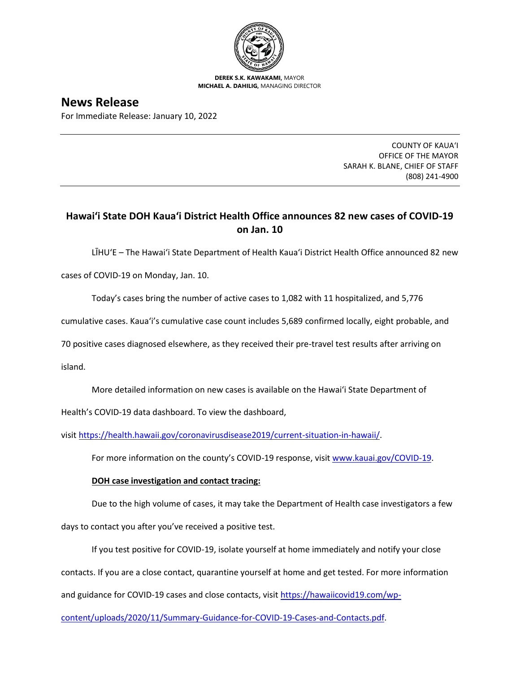

**DEREK S.K. KAWAKAMI,** MAYOR **MICHAEL A. DAHILIG,** MANAGING DIRECTOR

## **News Release**

For Immediate Release: January 10, 2022

COUNTY OF KAUA'I OFFICE OF THE MAYOR SARAH K. BLANE, CHIEF OF STAFF (808) 241-4900

## **Hawai'i State DOH Kaua'i District Health Office announces 82 new cases of COVID-19 on Jan. 10**

LĪHU'E – The Hawai'i State Department of Health Kaua'i District Health Office announced 82 new

cases of COVID-19 on Monday, Jan. 10.

Today's cases bring the number of active cases to 1,082 with 11 hospitalized, and 5,776

cumulative cases. Kaua'i's cumulative case count includes 5,689 confirmed locally, eight probable, and

70 positive cases diagnosed elsewhere, as they received their pre-travel test results after arriving on

island.

More detailed information on new cases is available on the Hawai'i State Department of

Health's COVID-19 data dashboard. To view the dashboard,

visit [https://health.hawaii.gov/coronavirusdisease2019/current-situation-in-hawaii/.](https://health.hawaii.gov/coronavirusdisease2019/current-situation-in-hawaii/)

For more information on the county's COVID-19 response, visit [www.kauai.gov/COVID-19.](https://urldefense.com/v3/__http:/www.kauai.gov/COVID-19__;!!LIYSdFfckKA!l4A5nHuw73q2ubt1jVfVpBxrgAoeT-qm9LHA2X0eDo7DmU1d8EztTez1J2SRjWo05uCKvMiUtA$)

## **DOH case investigation and contact tracing:**

Due to the high volume of cases, it may take the Department of Health case investigators a few

days to contact you after you've received a positive test.

If you test positive for COVID-19, isolate yourself at home immediately and notify your close

contacts. If you are a close contact, quarantine yourself at home and get tested. For more information

and guidance for COVID-19 cases and close contacts, visit [https://hawaiicovid19.com/wp-](https://hawaiicovid19.com/wp-content/uploads/2020/11/Summary-Guidance-for-COVID-19-Cases-and-Contacts.pdf)

[content/uploads/2020/11/Summary-Guidance-for-COVID-19-Cases-and-Contacts.pdf.](https://hawaiicovid19.com/wp-content/uploads/2020/11/Summary-Guidance-for-COVID-19-Cases-and-Contacts.pdf)